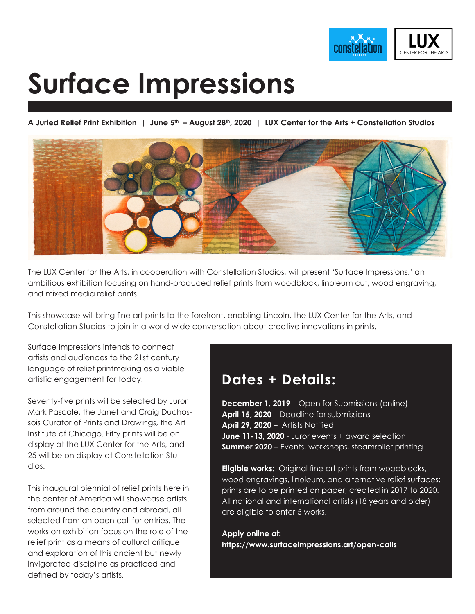

# **Surface Impressions**

A Juried Relief Print Exhibition | June 5<sup>th</sup> - August 28<sup>th</sup>, 2020 | LUX Center for the Arts + Constellation Studios



The LUX Center for the Arts, in cooperation with Constellation Studios, will present 'Surface Impressions,' an ambitious exhibition focusing on hand-produced relief prints from woodblock, linoleum cut, wood engraving, and mixed media relief prints.

This showcase will bring fine art prints to the forefront, enabling Lincoln, the LUX Center for the Arts, and Constellation Studios to join in a world-wide conversation about creative innovations in prints.

Surface Impressions intends to connect artists and audiences to the 21st century language of relief printmaking as a viable artistic engagement for today.

Seventy-five prints will be selected by Juror Mark Pascale, the Janet and Craig Duchossois Curator of Prints and Drawings, the Art Institute of Chicago. Fifty prints will be on display at the LUX Center for the Arts, and 25 will be on display at Constellation Studios.

This inaugural biennial of relief prints here in the center of America will showcase artists from around the country and abroad, all selected from an open call for entries. The works on exhibition focus on the role of the relief print as a means of cultural critique and exploration of this ancient but newly invigorated discipline as practiced and defined by today's artists.

# **Dates + Details:**

**December 1, 2019** – Open for Submissions (online) **April 15, 2020** – Deadline for submissions **April 29, 2020** – Artists Notified **June 11-13, 2020** - Juror events + award selection **Summer 2020** – Events, workshops, steamroller printing

**Eligible works:** Original fine art prints from woodblocks, wood engravings, linoleum, and alternative relief surfaces; prints are to be printed on paper; created in 2017 to 2020. All national and international artists (18 years and older) are eligible to enter 5 works.

**Apply online at: https://www.surfaceimpressions.art/open-calls**